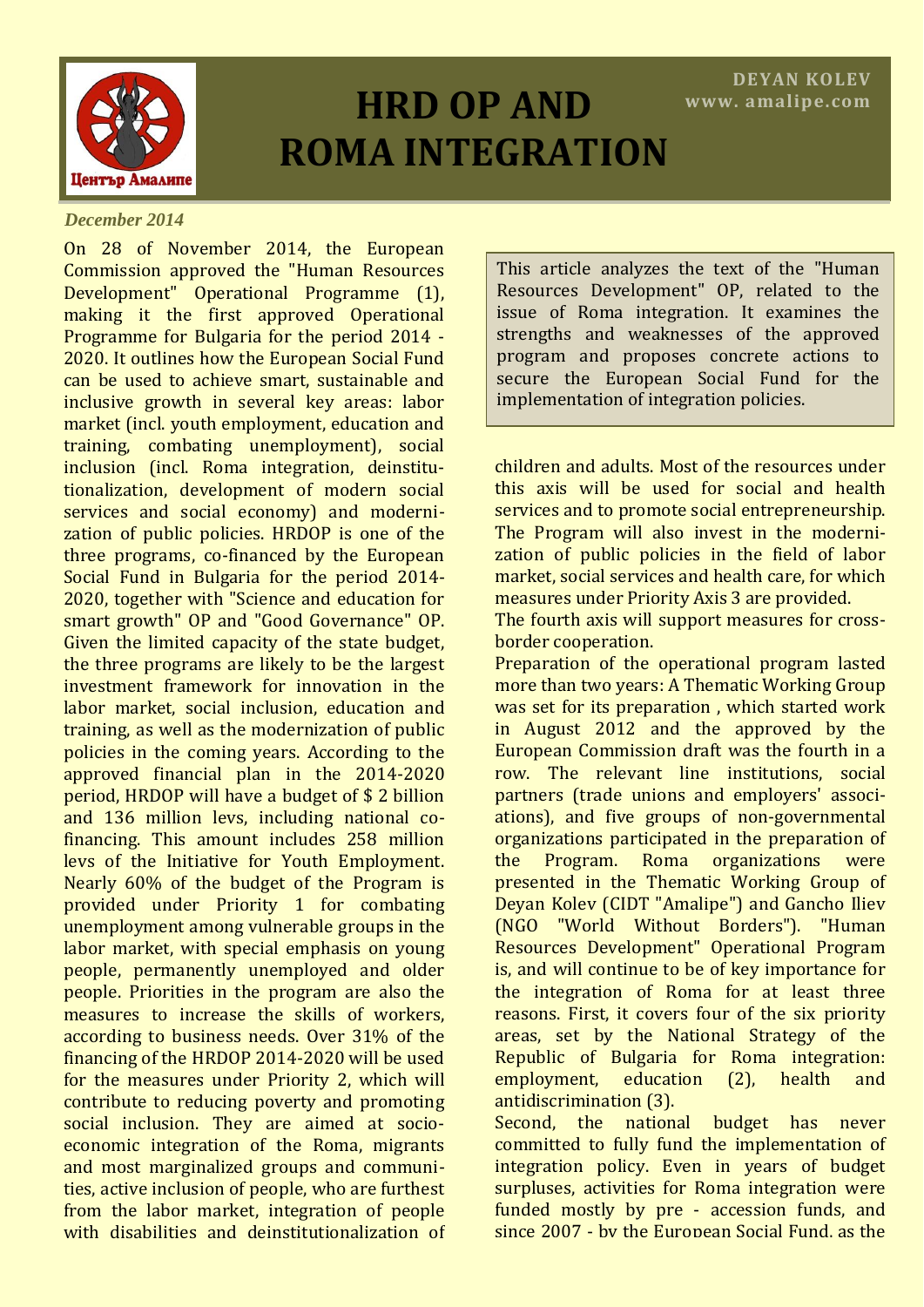

# **HRD OP AND ROMA INTEGRATION**

#### *December 2014*

On 28 of November 2014, the European Commission approved the "Human Resources Development" Operational Programme (1), making it the first approved Operational Programme for Bulgaria for the period 2014 - 2020. It outlines how the European Social Fund can be used to achieve smart, sustainable and inclusive growth in several key areas: labor market (incl. youth employment, education and training, combating unemployment), social inclusion (incl. Roma integration, deinstitutionalization, development of modern social services and social economy) and modernization of public policies. HRDOP is one of the three programs, co-financed by the European Social Fund in Bulgaria for the period 2014- 2020, together with "Science and education for smart growth" OP and "Good Governance" OP. Given the limited capacity of the state budget, the three programs are likely to be the largest investment framework for innovation in the labor market, social inclusion, education and training, as well as the modernization of public policies in the coming years. According to the approved financial plan in the 2014-2020 period, HRDOP will have a budget of \$ 2 billion and 136 million levs, including national cofinancing. This amount includes 258 million levs of the Initiative for Youth Employment. Nearly 60% of the budget of the Program is provided under Priority 1 for combating unemployment among vulnerable groups in the labor market, with special emphasis on young people, permanently unemployed and older people. Priorities in the program are also the measures to increase the skills of workers, according to business needs. Over 31% of the financing of the HRDOP 2014-2020 will be used for the measures under Priority 2, which will contribute to reducing poverty and promoting social inclusion. They are aimed at socioeconomic integration of the Roma, migrants and most marginalized groups and communities, active inclusion of people, who are furthest from the labor market, integration of people with disabilities and deinstitutionalization of

This article analyzes the text of the "Human Resources Development" OP, related to the issue of Roma integration. It examines the strengths and weaknesses of the approved program and proposes concrete actions to secure the European Social Fund for the implementation of integration policies.

children and adults. Most of the resources under this axis will be used for social and health services and to promote social entrepreneurship. The Program will also invest in the modernization of public policies in the field of labor market, social services and health care, for which measures under Priority Axis 3 are provided.

The fourth axis will support measures for crossborder cooperation.

Preparation of the operational program lasted more than two years: A Thematic Working Group was set for its preparation , which started work in August 2012 and the approved by the European Commission draft was the fourth in a row. The relevant line institutions, social partners (trade unions and employers' associations), and five groups of non-governmental organizations participated in the preparation of the Program. Roma organizations were presented in the Thematic Working Group of Deyan Kolev (CIDT "Amalipe") and Gancho Iliev (NGO "World Without Borders"). "Human Resources Development" Operational Program is, and will continue to be of key importance for the integration of Roma for at least three reasons. First, it covers four of the six priority areas, set by the National Strategy of the Republic of Bulgaria for Roma integration: employment, education (2), health and antidiscrimination (3).

Second, the national budget has never committed to fully fund the implementation of integration policy. Even in years of budget surpluses, activities for Roma integration were funded mostly by pre - accession funds, and since 2007 - by the European Social Fund, as the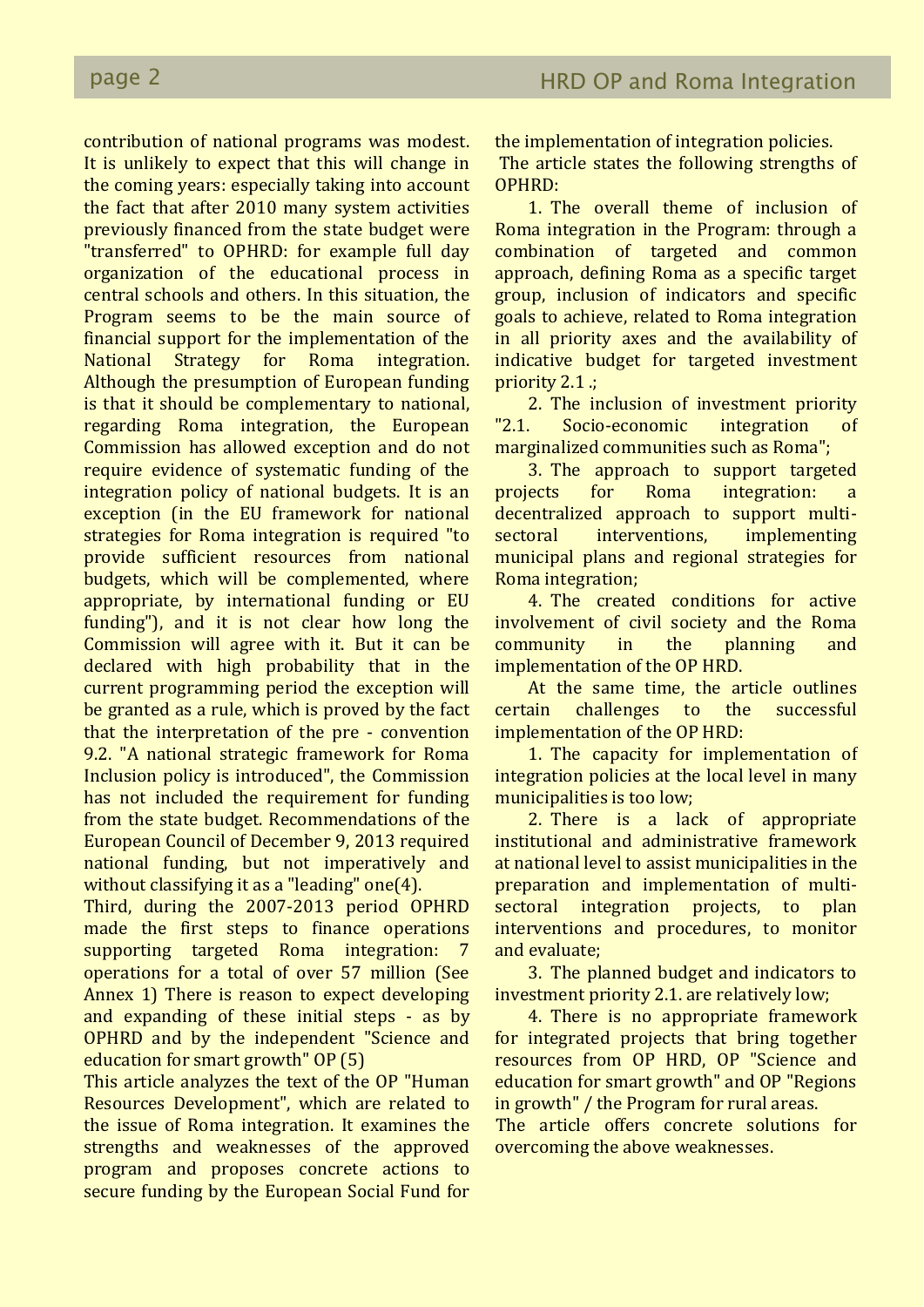contribution of national programs was modest. It is unlikely to expect that this will change in the coming years: especially taking into account the fact that after 2010 many system activities previously financed from the state budget were "transferred" to OPHRD: for example full day organization of the educational process in central schools and others. In this situation, the Program seems to be the main source of financial support for the implementation of the National Strategy for Roma integration. Although the presumption of European funding is that it should be complementary to national, regarding Roma integration, the European Commission has allowed exception and do not require evidence of systematic funding of the integration policy of national budgets. It is an exception (in the EU framework for national strategies for Roma integration is required "to provide sufficient resources from national budgets, which will be complemented, where appropriate, by international funding or EU funding"), and it is not clear how long the Commission will agree with it. But it can be declared with high probability that in the current programming period the exception will be granted as a rule, which is proved by the fact that the interpretation of the pre - convention 9.2. "A national strategic framework for Roma Inclusion policy is introduced", the Commission has not included the requirement for funding from the state budget. Recommendations of the European Council of December 9, 2013 required national funding, but not imperatively and without classifying it as a "leading" one(4).

Third, during the 2007-2013 period OPHRD made the first steps to finance operations supporting targeted Roma integration: 7 operations for a total of over 57 million (See Annex 1) There is reason to expect developing and expanding of these initial steps - as by OPHRD and by the independent "Science and education for smart growth" OP (5)

This article analyzes the text of the OP "Human Resources Development", which are related to the issue of Roma integration. It examines the strengths and weaknesses of the approved program and proposes concrete actions to secure funding by the European Social Fund for the implementation of integration policies.

The article states the following strengths of OPHRD:

1. The overall theme of inclusion of Roma integration in the Program: through a combination of targeted and common approach, defining Roma as a specific target group, inclusion of indicators and specific goals to achieve, related to Roma integration in all priority axes and the availability of indicative budget for targeted investment priority 2.1 .;

2. The inclusion of investment priority "2.1. Socio-economic integration of marginalized communities such as Roma";

3. The approach to support targeted projects for Roma integration: a decentralized approach to support multisectoral interventions, implementing municipal plans and regional strategies for Roma integration;

4. The created conditions for active involvement of civil society and the Roma community in the planning and implementation of the OP HRD.

At the same time, the article outlines certain challenges to the successful implementation of the OP HRD:

1. The capacity for implementation of integration policies at the local level in many municipalities is too low;

2. There is a lack of appropriate institutional and administrative framework at national level to assist municipalities in the preparation and implementation of multisectoral integration projects, to plan interventions and procedures, to monitor and evaluate;

3. The planned budget and indicators to investment priority 2.1. are relatively low;

4. There is no appropriate framework for integrated projects that bring together resources from OP HRD, OP "Science and education for smart growth" and OP "Regions in growth" / the Program for rural areas.

The article offers concrete solutions for overcoming the above weaknesses.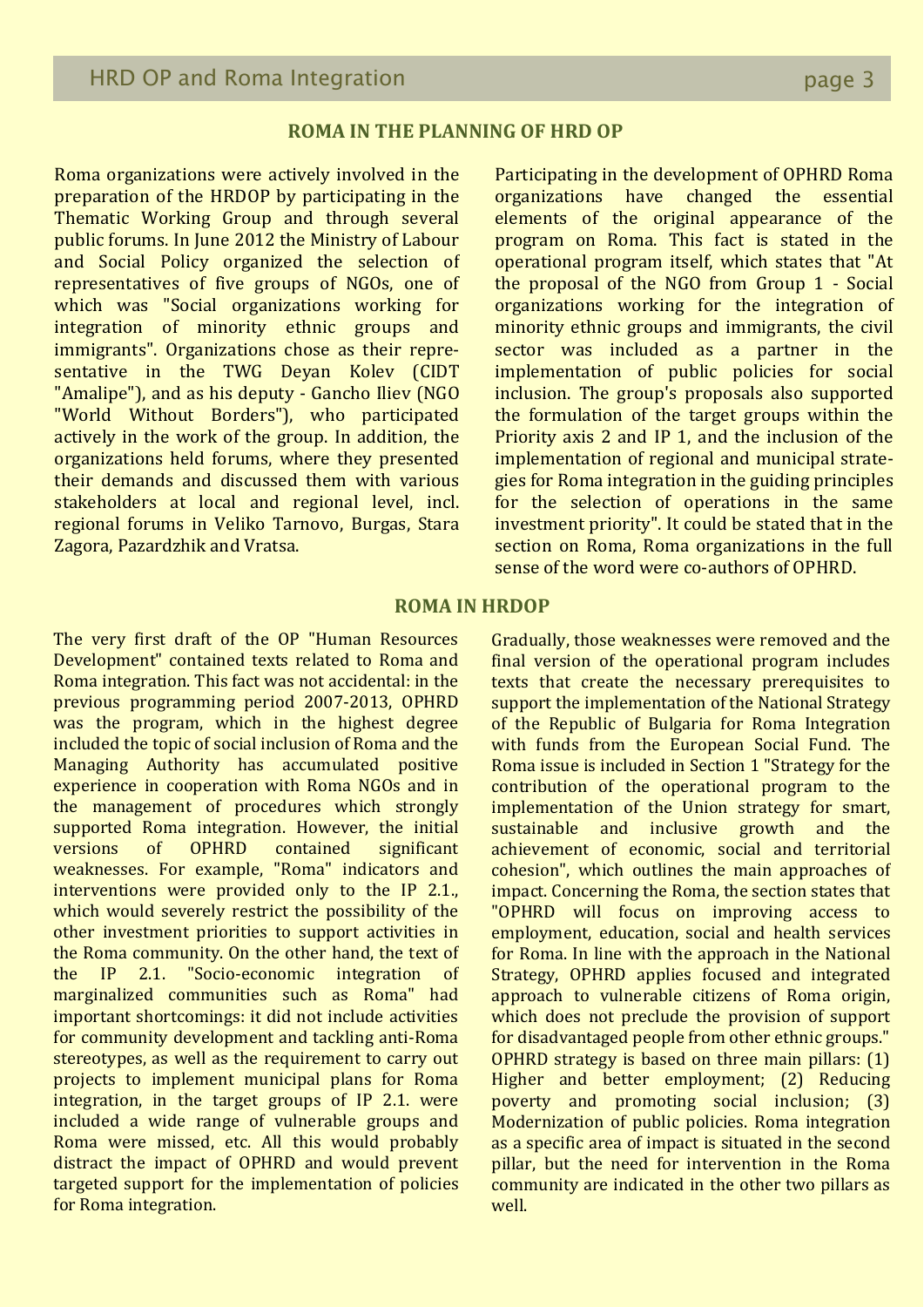## **ROMA IN THE PLANNING OF HRD OP**

Roma organizations were actively involved in the preparation of the HRDOP by participating in the Thematic Working Group and through several public forums. In June 2012 the Ministry of Labour and Social Policy organized the selection of representatives of five groups of NGOs, one of which was "Social organizations working for integration of minority ethnic groups and immigrants". Organizations chose as their representative in the TWG Deyan Koley (CIDT "Amalipe"), and as his deputy - Gancho Iliev (NGO "World Without Borders"), who participated actively in the work of the group. In addition, the organizations held forums, where they presented their demands and discussed them with various stakeholders at local and regional level, incl. regional forums in Veliko Tarnovo, Burgas, Stara Zagora, Pazardzhik and Vratsa.

Participating in the development of OPHRD Roma organizations have changed the essential elements of the original appearance of the program on Roma. This fact is stated in the operational program itself, which states that "At the proposal of the NGO from Group 1 - Social organizations working for the integration of minority ethnic groups and immigrants, the civil sector was included as a partner in the implementation of public policies for social inclusion. The group's proposals also supported the formulation of the target groups within the Priority axis 2 and IP 1, and the inclusion of the implementation of regional and municipal strategies for Roma integration in the guiding principles for the selection of operations in the same investment priority". It could be stated that in the section on Roma, Roma organizations in the full sense of the word were co-authors of OPHRD.

## **ROMA IN HRDOP**

The very first draft of the OP "Human Resources Development" contained texts related to Roma and Roma integration. This fact was not accidental: in the previous programming period 2007-2013, OPHRD was the program, which in the highest degree included the topic of social inclusion of Roma and the Managing Authority has accumulated positive experience in cooperation with Roma NGOs and in the management of procedures which strongly supported Roma integration. However, the initial versions of OPHRD contained significant weaknesses. For example, "Roma" indicators and interventions were provided only to the IP 2.1., which would severely restrict the possibility of the other investment priorities to support activities in the Roma community. On the other hand, the text of the IP 2.1. "Socio-economic integration of marginalized communities such as Roma" had important shortcomings: it did not include activities for community development and tackling anti-Roma stereotypes, as well as the requirement to carry out projects to implement municipal plans for Roma integration, in the target groups of IP 2.1. were included a wide range of vulnerable groups and Roma were missed, etc. All this would probably distract the impact of OPHRD and would prevent targeted support for the implementation of policies for Roma integration.

Gradually, those weaknesses were removed and the final version of the operational program includes texts that create the necessary prerequisites to support the implementation of the National Strategy of the Republic of Bulgaria for Roma Integration with funds from the European Social Fund. The Roma issue is included in Section 1 "Strategy for the contribution of the operational program to the implementation of the Union strategy for smart, sustainable and inclusive growth and the achievement of economic, social and territorial cohesion", which outlines the main approaches of impact. Concerning the Roma, the section states that "OPHRD will focus on improving access to employment, education, social and health services for Roma. In line with the approach in the National Strategy, OPHRD applies focused and integrated approach to vulnerable citizens of Roma origin, which does not preclude the provision of support for disadvantaged people from other ethnic groups." OPHRD strategy is based on three main pillars: (1) Higher and better employment; (2) Reducing poverty and promoting social inclusion; (3) Modernization of public policies. Roma integration as a specific area of impact is situated in the second pillar, but the need for intervention in the Roma community are indicated in the other two pillars as well.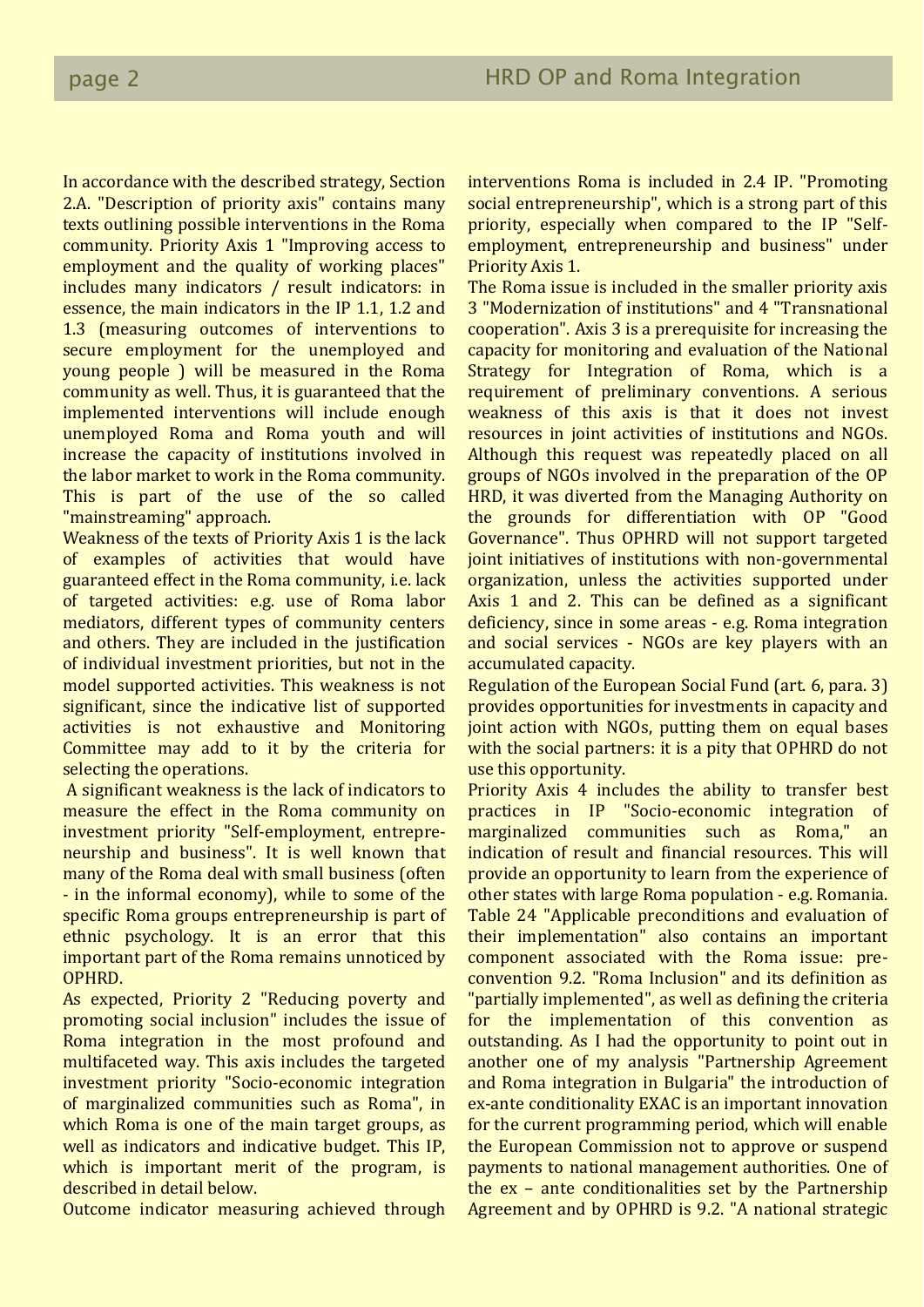In accordance with the described strategy, Section 2.A. "Description of priority axis" contains many texts outlining possible interventions in the Roma community. Priority Axis 1 "Improving access to employment and the quality of working places" includes many indicators / result indicators: in essence, the main indicators in the IP 1.1, 1.2 and 1.3 (measuring outcomes of interventions to secure employment for the unemployed and young people ) will be measured in the Roma community as well. Thus, it is guaranteed that the implemented interventions will include enough unemployed Roma and Roma youth and will increase the capacity of institutions involved in the labor market to work in the Roma community. This is part of the use of the so called "mainstreaming" approach.

Weakness of the texts of Priority Axis 1 is the lack of examples of activities that would have guaranteed effect in the Roma community, i.e. lack of targeted activities: e.g. use of Roma labor mediators, different types of community centers and others. They are included in the justification of individual investment priorities, but not in the model supported activities. This weakness is not significant, since the indicative list of supported activities is not exhaustive and Monitoring Committee may add to it by the criteria for selecting the operations.

A significant weakness is the lack of indicators to measure the effect in the Roma community on investment priority "Self-employment, entrepreneurship and business". It is well known that many of the Roma deal with small business (often - in the informal economy), while to some of the specific Roma groups entrepreneurship is part of ethnic psychology. It is an error that this important part of the Roma remains unnoticed by OPHRD.

As expected, Priority 2 "Reducing poverty and promoting social inclusion" includes the issue of Roma integration in the most profound and multifaceted way. This axis includes the targeted investment priority "Socio-economic integration of marginalized communities such as Roma", in which Roma is one of the main target groups, as well as indicators and indicative budget. This IP, which is important merit of the program, is described in detail below.

Outcome indicator measuring achieved through

interventions Roma is included in 2.4 IP. "Promoting social entrepreneurship", which is a strong part of this priority, especially when compared to the IP "Selfemployment, entrepreneurship and business" under Priority Axis 1.

The Roma issue is included in the smaller priority axis 3 "Modernization of institutions" and 4 "Transnational cooperation". Axis 3 is a prerequisite for increasing the capacity for monitoring and evaluation of the National Strategy for Integration of Roma, which is a requirement of preliminary conventions. A serious weakness of this axis is that it does not invest resources in joint activities of institutions and NGOs. Although this request was repeatedly placed on all groups of NGOs involved in the preparation of the OP HRD, it was diverted from the Managing Authority on the grounds for differentiation with OP "Good Governance". Thus OPHRD will not support targeted joint initiatives of institutions with non-governmental organization, unless the activities supported under Axis 1 and 2. This can be defined as a significant deficiency, since in some areas - e.g. Roma integration and social services - NGOs are key players with an accumulated capacity.

Regulation of the European Social Fund (art. 6, para. 3) provides opportunities for investments in capacity and joint action with NGOs, putting them on equal bases with the social partners: it is a pity that OPHRD do not use this opportunity.

Priority Axis 4 includes the ability to transfer best practices in IP "Socio-economic integration of marginalized communities such as Roma," an indication of result and financial resources. This will provide an opportunity to learn from the experience of other states with large Roma population - e.g. Romania. Table 24 "Applicable preconditions and evaluation of their implementation" also contains an important component associated with the Roma issue: preconvention 9.2. "Roma Inclusion" and its definition as "partially implemented", as well as defining the criteria for the implementation of this convention as outstanding. As I had the opportunity to point out in another one of my analysis "Partnership Agreement and Roma integration in Bulgaria" the introduction of ex-ante conditionality EXAC is an important innovation for the current programming period, which will enable the European Commission not to approve or suspend payments to national management authorities. One of the ex – ante conditionalities set by the Partnership Agreement and by OPHRD is 9.2. "A national strategic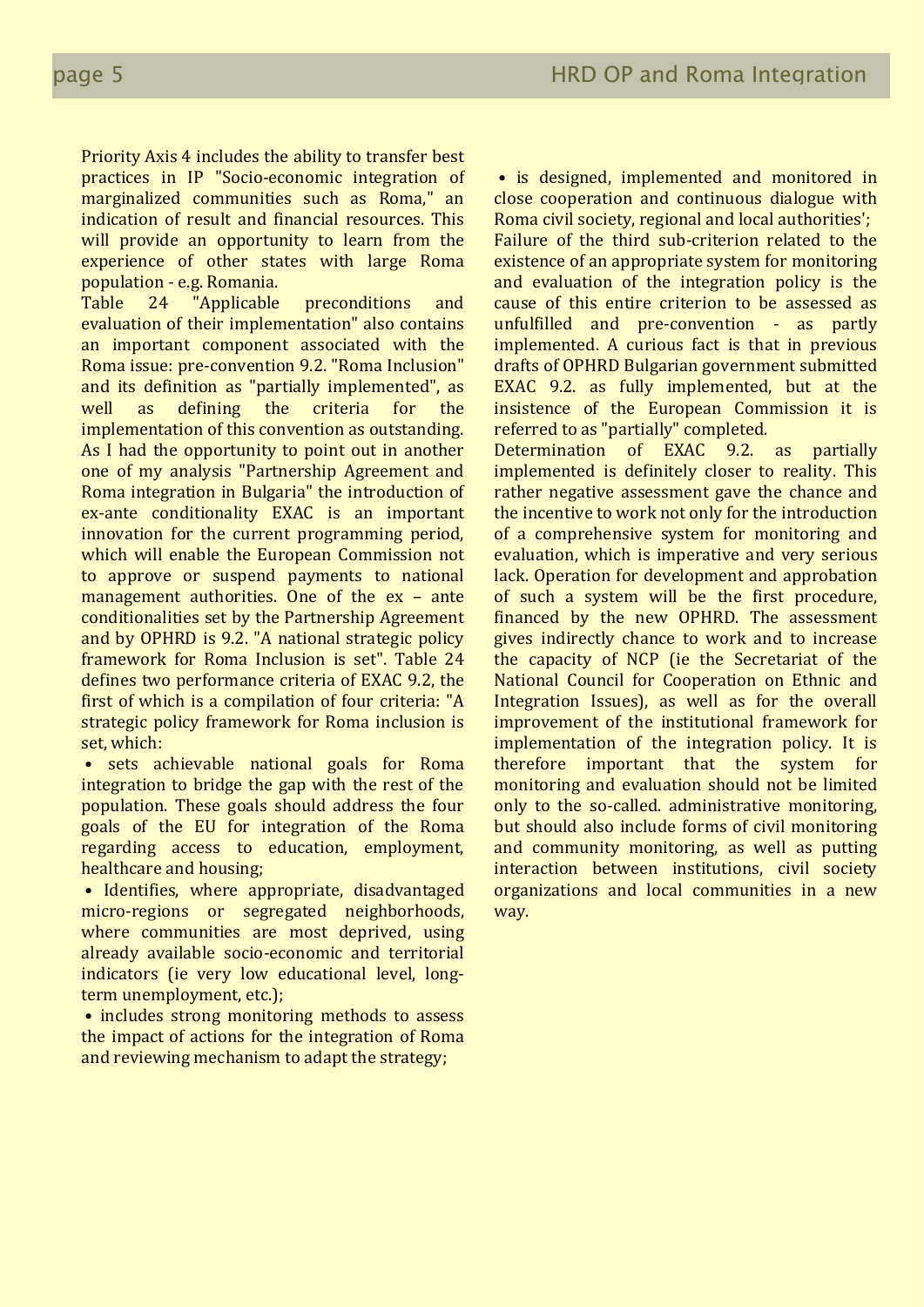Priority Axis 4 includes the ability to transfer best practices in IP "Socio-economic integration of marginalized communities such as Roma," an indication of result and financial resources. This will provide an opportunity to learn from the experience of other states with large Roma population - e.g. Romania.

Table 24 "Applicable preconditions and evaluation of their implementation" also contains an important component associated with the Roma issue: pre-convention 9.2. "Roma Inclusion" and its definition as "partially implemented", as well as defining the criteria for the implementation of this convention as outstanding. As I had the opportunity to point out in another one of my analysis "Partnership Agreement and Roma integration in Bulgaria" the introduction of ex-ante conditionality EXAC is an important innovation for the current programming period, which will enable the European Commission not to approve or suspend payments to national management authorities. One of the ex – ante conditionalities set by the Partnership Agreement and by OPHRD is 9.2. "A national strategic policy framework for Roma Inclusion is set". Table 24 defines two performance criteria of EXAC 9.2, the first of which is a compilation of four criteria: "A strategic policy framework for Roma inclusion is set, which:

• sets achievable national goals for Roma integration to bridge the gap with the rest of the population. These goals should address the four goals of the EU for integration of the Roma regarding access to education, employment, healthcare and housing;

• Identifies, where appropriate, disadvantaged micro-regions or segregated neighborhoods, where communities are most deprived, using already available socio-economic and territorial indicators (ie very low educational level, longterm unemployment, etc.);

• includes strong monitoring methods to assess the impact of actions for the integration of Roma and reviewing mechanism to adapt the strategy;

• is designed, implemented and monitored in close cooperation and continuous dialogue with Roma civil society, regional and local authorities'; Failure of the third sub-criterion related to the existence of an appropriate system for monitoring and evaluation of the integration policy is the cause of this entire criterion to be assessed as unfulfilled and pre-convention - as partly implemented. A curious fact is that in previous drafts of OPHRD Bulgarian government submitted EXAC 9.2. as fully implemented, but at the insistence of the European Commission it is referred to as "partially" completed.

Determination of EXAC 9.2. as partially implemented is definitely closer to reality. This rather negative assessment gave the chance and the incentive to work not only for the introduction of a comprehensive system for monitoring and evaluation, which is imperative and very serious lack. Operation for development and approbation of such a system will be the first procedure, financed by the new OPHRD. The assessment gives indirectly chance to work and to increase the capacity of NCP (ie the Secretariat of the National Council for Cooperation on Ethnic and Integration Issues), as well as for the overall improvement of the institutional framework for implementation of the integration policy. It is therefore important that the system for monitoring and evaluation should not be limited only to the so-called. administrative monitoring, but should also include forms of civil monitoring and community monitoring, as well as putting interaction between institutions, civil society organizations and local communities in a new way.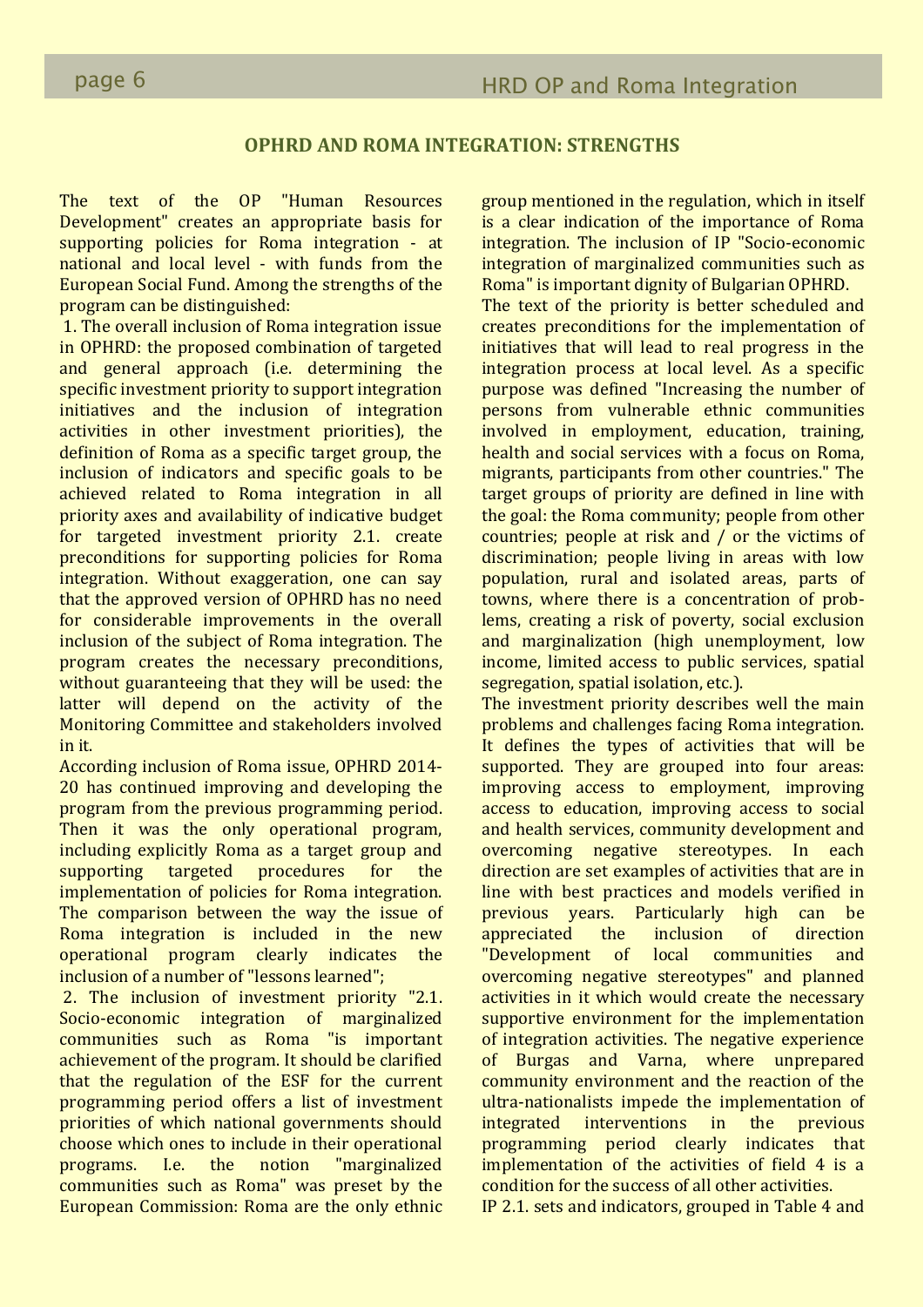# **OPHRD AND ROMA INTEGRATION: STRENGTHS**

The text of the OP "Human Resources Development" creates an appropriate basis for supporting policies for Roma integration - at national and local level - with funds from the European Social Fund. Among the strengths of the program can be distinguished:

1. The overall inclusion of Roma integration issue in OPHRD: the proposed combination of targeted and general approach (i.e. determining the specific investment priority to support integration initiatives and the inclusion of integration activities in other investment priorities), the definition of Roma as a specific target group, the inclusion of indicators and specific goals to be achieved related to Roma integration in all priority axes and availability of indicative budget for targeted investment priority 2.1. create preconditions for supporting policies for Roma integration. Without exaggeration, one can say that the approved version of OPHRD has no need for considerable improvements in the overall inclusion of the subject of Roma integration. The program creates the necessary preconditions, without guaranteeing that they will be used: the latter will depend on the activity of the Monitoring Committee and stakeholders involved in it.

According inclusion of Roma issue, OPHRD 2014- 20 has continued improving and developing the program from the previous programming period. Then it was the only operational program, including explicitly Roma as a target group and supporting targeted procedures for the implementation of policies for Roma integration. The comparison between the way the issue of Roma integration is included in the new operational program clearly indicates the inclusion of a number of "lessons learned";

2. The inclusion of investment priority "2.1. Socio-economic integration of marginalized communities such as Roma "is important achievement of the program. It should be clarified that the regulation of the ESF for the current programming period offers a list of investment priorities of which national governments should choose which ones to include in their operational programs. I.e. the notion "marginalized communities such as Roma" was preset by the European Commission: Roma are the only ethnic

group mentioned in the regulation, which in itself is a clear indication of the importance of Roma integration. The inclusion of IP "Socio-economic integration of marginalized communities such as Roma" is important dignity of Bulgarian OPHRD.

The text of the priority is better scheduled and creates preconditions for the implementation of initiatives that will lead to real progress in the integration process at local level. As a specific purpose was defined "Increasing the number of persons from vulnerable ethnic communities involved in employment, education, training, health and social services with a focus on Roma, migrants, participants from other countries." The target groups of priority are defined in line with the goal: the Roma community; people from other countries; people at risk and / or the victims of discrimination; people living in areas with low population, rural and isolated areas, parts of towns, where there is a concentration of problems, creating a risk of poverty, social exclusion and marginalization (high unemployment, low income, limited access to public services, spatial segregation, spatial isolation, etc.).

The investment priority describes well the main problems and challenges facing Roma integration. It defines the types of activities that will be supported. They are grouped into four areas: improving access to employment, improving access to education, improving access to social and health services, community development and overcoming negative stereotypes. In each direction are set examples of activities that are in line with best practices and models verified in previous years. Particularly high can be appreciated the inclusion of direction "Development of local communities and overcoming negative stereotypes" and planned activities in it which would create the necessary supportive environment for the implementation of integration activities. The negative experience of Burgas and Varna, where unprepared community environment and the reaction of the ultra-nationalists impede the implementation of integrated interventions in the previous programming period clearly indicates that implementation of the activities of field 4 is a condition for the success of all other activities.

IP 2.1. sets and indicators, grouped in Table 4 and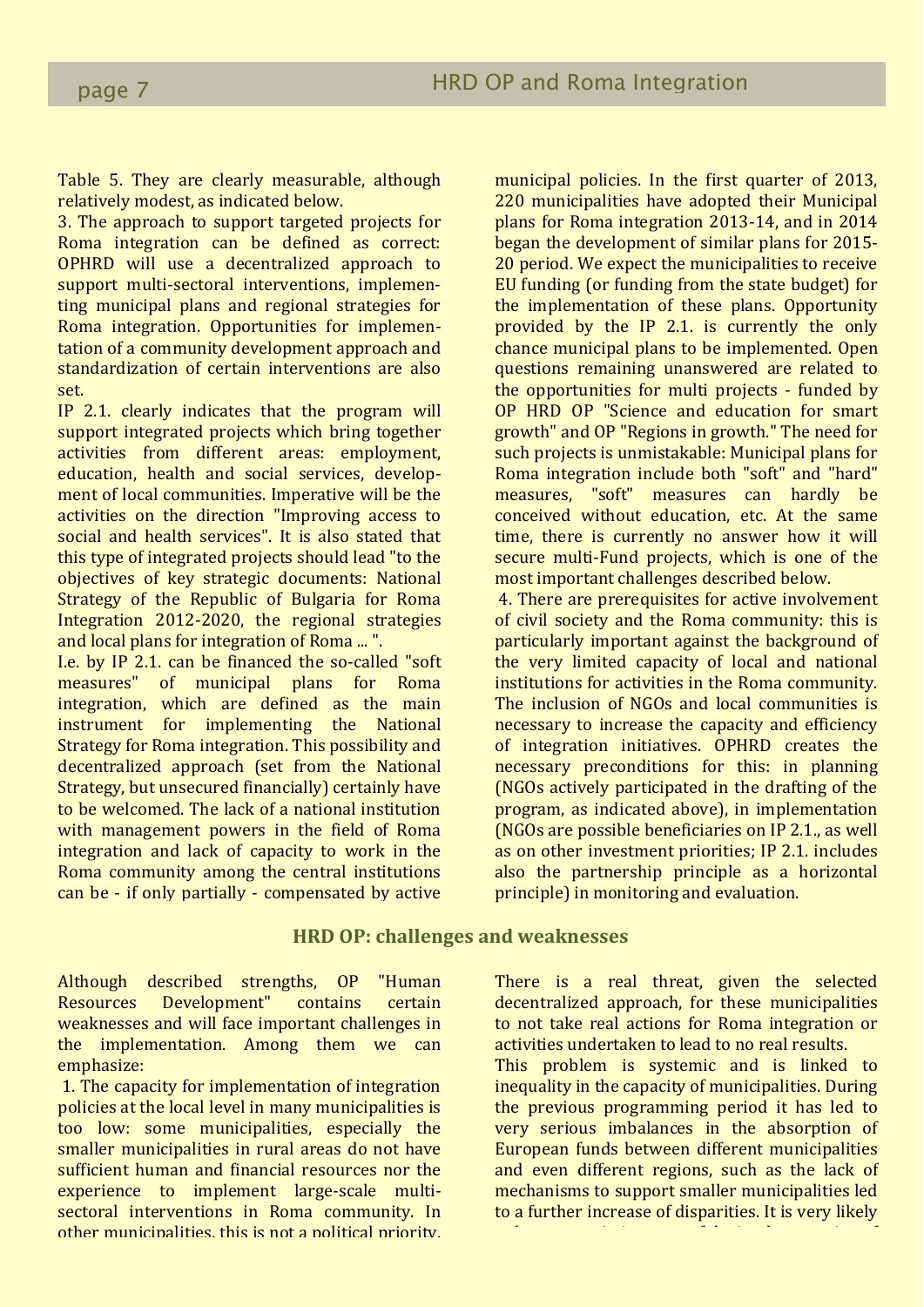Table 5. They are clearly measurable, although relatively modest, as indicated below.

3. The approach to support targeted projects for Roma integration can be defined as correct: OPHRD will use a decentralized approach to support multi-sectoral interventions, implementing municipal plans and regional strategies for Roma integration. Opportunities for implementation of a community development approach and standardization of certain interventions are also set.

IP 2.1. clearly indicates that the program will support integrated projects which bring together activities from different areas: employment, education, health and social services, development of local communities. Imperative will be the activities on the direction "Improving access to social and health services". It is also stated that this type of integrated projects should lead "to the objectives of key strategic documents: National Strategy of the Republic of Bulgaria for Roma Integration 2012-2020, the regional strategies and local plans for integration of Roma ... ".

I.e. by IP 2.1. can be financed the so-called "soft measures" of municipal plans for Roma integration, which are defined as the main instrument for implementing the National Strategy for Roma integration. This possibility and decentralized approach (set from the National Strategy, but unsecured financially) certainly have to be welcomed. The lack of a national institution with management powers in the field of Roma integration and lack of capacity to work in the Roma community among the central institutions can be - if only partially - compensated by active municipal policies. In the first quarter of 2013, 220 municipalities have adopted their Municipal plans for Roma integration 2013-14, and in 2014 began the development of similar plans for 2015- 20 period. We expect the municipalities to receive EU funding (or funding from the state budget) for the implementation of these plans. Opportunity provided by the IP 2.1. is currently the only chance municipal plans to be implemented. Open questions remaining unanswered are related to the opportunities for multi projects - funded by OP HRD OP "Science and education for smart growth" and OP "Regions in growth." The need for such projects is unmistakable: Municipal plans for Roma integration include both "soft" and "hard" measures, "soft" measures can hardly be conceived without education, etc. At the same time, there is currently no answer how it will secure multi-Fund projects, which is one of the most important challenges described below.

4. There are prerequisites for active involvement of civil society and the Roma community: this is particularly important against the background of the very limited capacity of local and national institutions for activities in the Roma community. The inclusion of NGOs and local communities is necessary to increase the capacity and efficiency of integration initiatives. OPHRD creates the necessary preconditions for this: in planning (NGOs actively participated in the drafting of the program, as indicated above), in implementation (NGOs are possible beneficiaries on IP 2.1., as well as on other investment priorities; IP 2.1. includes also the partnership principle as a horizontal principle) in monitoring and evaluation.

# 220 municipalities have adopted their Municipal **HRD OP: challenges and weaknesses**

Although described strengths, OP "Human Resources Development" contains certain weaknesses and will face important challenges in the implementation. Among them we can emphasize: **Exercise Exercise Exercise Constantinople** 

1. The capacity for implementation of integration policies at the local level in many municipalities is too low: some municipalities, especially the smaller municipalities in rural areas do not have sufficient human and financial resources nor the experience to implement large-scale multisectoral interventions in Roma community. In other municipalities, this is not a political priority. There is a real threat, given the selected decentralized approach, for these municipalities to not take real actions for Roma integration or activities undertaken to lead to no real results. This problem is systemic and is linked to inequality in the capacity of municipalities. During the previous programming period it has led to very serious imbalances in the absorption of European funds between different municipalities and even different regions, such as the lack of mechanisms to support smaller municipalities led to a further increase of disparities. It is very likely

to happen again in terms of the implementation of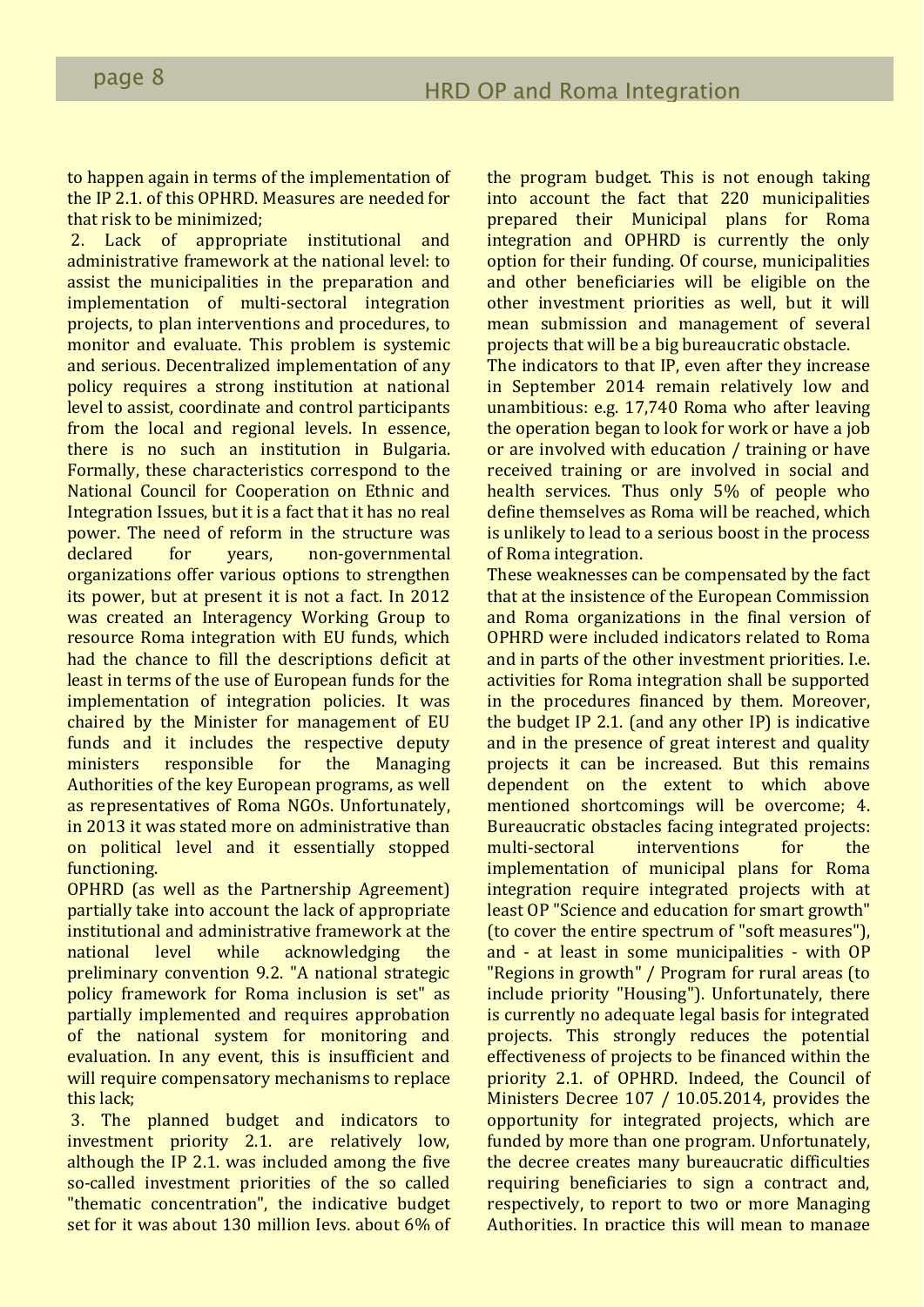to happen again in terms of the implementation of the IP 2.1. of this OPHRD. Measures are needed for that risk to be minimized;

2. Lack of appropriate institutional and administrative framework at the national level: to assist the municipalities in the preparation and implementation of multi-sectoral integration projects, to plan interventions and procedures, to monitor and evaluate. This problem is systemic and serious. Decentralized implementation of any policy requires a strong institution at national level to assist, coordinate and control participants from the local and regional levels. In essence, there is no such an institution in Bulgaria. Formally, these characteristics correspond to the National Council for Cooperation on Ethnic and Integration Issues, but it is a fact that it has no real power. The need of reform in the structure was declared for years, non-governmental organizations offer various options to strengthen its power, but at present it is not a fact. In 2012 was created an Interagency Working Group to resource Roma integration with EU funds, which had the chance to fill the descriptions deficit at least in terms of the use of European funds for the implementation of integration policies. It was chaired by the Minister for management of EU funds and it includes the respective deputy ministers responsible for the Managing Authorities of the key European programs, as well as representatives of Roma NGOs. Unfortunately, in 2013 it was stated more on administrative than on political level and it essentially stopped functioning.

OPHRD (as well as the Partnership Agreement) partially take into account the lack of appropriate institutional and administrative framework at the national level while acknowledging the preliminary convention 9.2. "A national strategic policy framework for Roma inclusion is set" as partially implemented and requires approbation of the national system for monitoring and evaluation. In any event, this is insufficient and will require compensatory mechanisms to replace this lack;

3. The planned budget and indicators to investment priority 2.1. are relatively low, although the IP 2.1. was included among the five so-called investment priorities of the so called "thematic concentration", the indicative budget set for it was about 130 million Ievs, about 6% of the program budget. This is not enough taking into account the fact that 220 municipalities prepared their Municipal plans for Roma integration and OPHRD is currently the only option for their funding. Of course, municipalities and other beneficiaries will be eligible on the other investment priorities as well, but it will mean submission and management of several projects that will be a big bureaucratic obstacle.

The indicators to that IP, even after they increase in September 2014 remain relatively low and unambitious: e.g. 17,740 Roma who after leaving the operation began to look for work or have a job or are involved with education / training or have received training or are involved in social and health services. Thus only 5% of people who define themselves as Roma will be reached, which is unlikely to lead to a serious boost in the process of Roma integration.

These weaknesses can be compensated by the fact that at the insistence of the European Commission and Roma organizations in the final version of OPHRD were included indicators related to Roma and in parts of the other investment priorities. I.e. activities for Roma integration shall be supported in the procedures financed by them. Moreover, the budget IP 2.1. (and any other IP) is indicative and in the presence of great interest and quality projects it can be increased. But this remains dependent on the extent to which above mentioned shortcomings will be overcome; 4. Bureaucratic obstacles facing integrated projects: multi-sectoral interventions for the implementation of municipal plans for Roma integration require integrated projects with at least OP "Science and education for smart growth" (to cover the entire spectrum of "soft measures"), and - at least in some municipalities - with OP "Regions in growth" / Program for rural areas (to include priority "Housing"). Unfortunately, there is currently no adequate legal basis for integrated projects. This strongly reduces the potential effectiveness of projects to be financed within the priority 2.1. of OPHRD. Indeed, the Council of Ministers Decree 107 / 10.05.2014, provides the opportunity for integrated projects, which are funded by more than one program. Unfortunately, the decree creates many bureaucratic difficulties requiring beneficiaries to sign a contract and, respectively, to report to two or more Managing Authorities. In practice this will mean to manage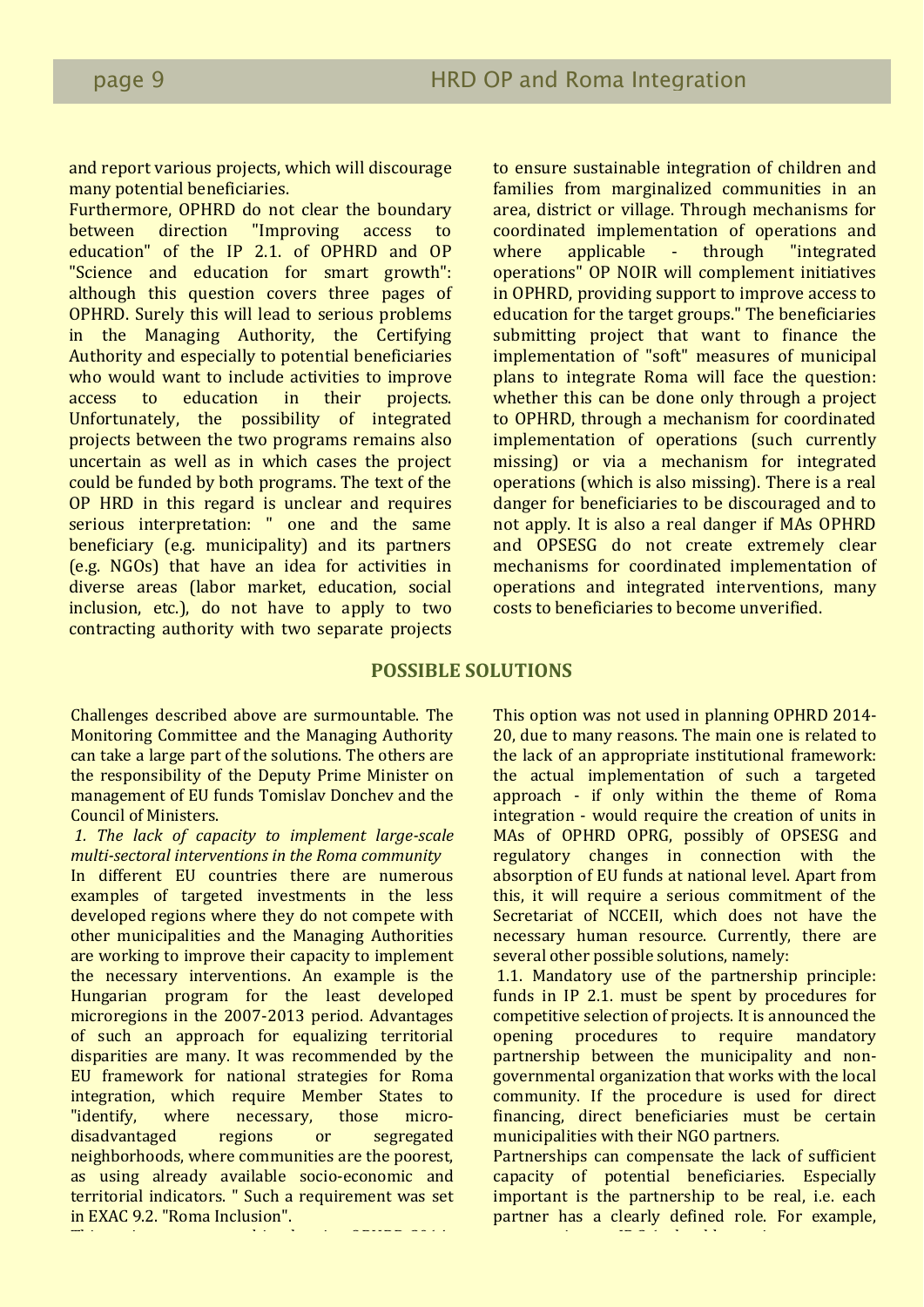and report various projects, which will discourage many potential beneficiaries.

Furthermore, OPHRD do not clear the boundary between direction "Improving access to education" of the IP 2.1. of OPHRD and OP "Science and education for smart growth": although this question covers three pages of OPHRD. Surely this will lead to serious problems in the Managing Authority, the Certifying Authority and especially to potential beneficiaries who would want to include activities to improve access to education in their projects. Unfortunately, the possibility of integrated projects between the two programs remains also uncertain as well as in which cases the project could be funded by both programs. The text of the OP HRD in this regard is unclear and requires serious interpretation: " one and the same beneficiary (e.g. municipality) and its partners (e.g. NGOs) that have an idea for activities in diverse areas (labor market, education, social inclusion, etc.), do not have to apply to two contracting authority with two separate projects to ensure sustainable integration of children and families from marginalized communities in an area, district or village. Through mechanisms for coordinated implementation of operations and where applicable - through "integrated operations" OP NOIR will complement initiatives in OPHRD, providing support to improve access to education for the target groups." The beneficiaries submitting project that want to finance the implementation of "soft" measures of municipal plans to integrate Roma will face the question: whether this can be done only through a project to OPHRD, through a mechanism for coordinated implementation of operations (such currently missing) or via a mechanism for integrated operations (which is also missing). There is a real danger for beneficiaries to be discouraged and to not apply. It is also a real danger if MAs OPHRD and OPSESG do not create extremely clear mechanisms for coordinated implementation of operations and integrated interventions, many costs to beneficiaries to become unverified.

## families from marginalized communities in an **POSSIBLE SOLUTIONS**

Challenges described above are surmountable. The Monitoring Committee and the Managing Authority can take a large part of the solutions. The others are the responsibility of the Deputy Prime Minister on management of EU funds Tomislav Donchev and the **Council of Ministers.** The council of Ministers of  $\mathbb{R}^n$ 

In different EU countries there are numerous examples of targeted investments in the less developed regions where they do not compete with other municipalities and the Managing Authorities are working to improve their capacity to implement are necessary interventions. An example is the<br>Hungarian program for the least developed nungarian program for the reast developed<br>microregions in the 2007-2013 period. Advantages meroregions in the 2007 2013 period: Advantages<br>of such an approach for equalizing territorial of such an approach for equalizing territorial disparities are many. It was recommended by the and interventions are many to the recommended by the EU framework for national strategies for Roma costs to beneficiaries to become unverified. integration, which require Member States to the necessary interventions. An example is the "identify, where necessary, those microdisadvantaged regions or segregated neighborhoods, where communities are the poorest, as using already available socio-economic and territorial indicators. " Such a requirement was set in EXAC 9.2. "Roma Inclusion".

This option was not used in planning OPHRD 2014-

This option was not used in planning OPHRD 2014- 20, due to many reasons. The main one is related to the lack of an appropriate institutional framework: the actual implementation of such a targeted approach - if only within the theme of Roma integration - would require the creation of units in MAs of OPHRD OPRG, possibly of OPSESG and regulatory changes in connection with the absorption of EU funds at national level. Apart from this, it will require a serious commitment of the Secretariat of NCCEII, which does not have the necessary human resource. Currently, there are several other possible solutions, namely:

1.1. Mandatory use of the partnership principle: funds in IP 2.1. must be spent by procedures for competitive selection of projects. It is announced the opening procedures to require mandatory partnership between the municipality and nongovernmental organization that works with the local community. If the procedure is used for direct financing, direct beneficiaries must be certain municipalities with their NGO partners.

Partnerships can compensate the lack of sufficient capacity of potential beneficiaries. Especially important is the partnership to be real, i.e. each partner has a clearly defined role. For example, every project on IP 2.1. showledge to 2.1. showledge to 2.1. showledge to 2.1. showledge to 2.1. showledge to<br>The component of the component of the component of the component of the component of the component of the comp

<sup>1.</sup> The lack of capacity to implement large-scale *multi-sectoral interventions in the Roma community*